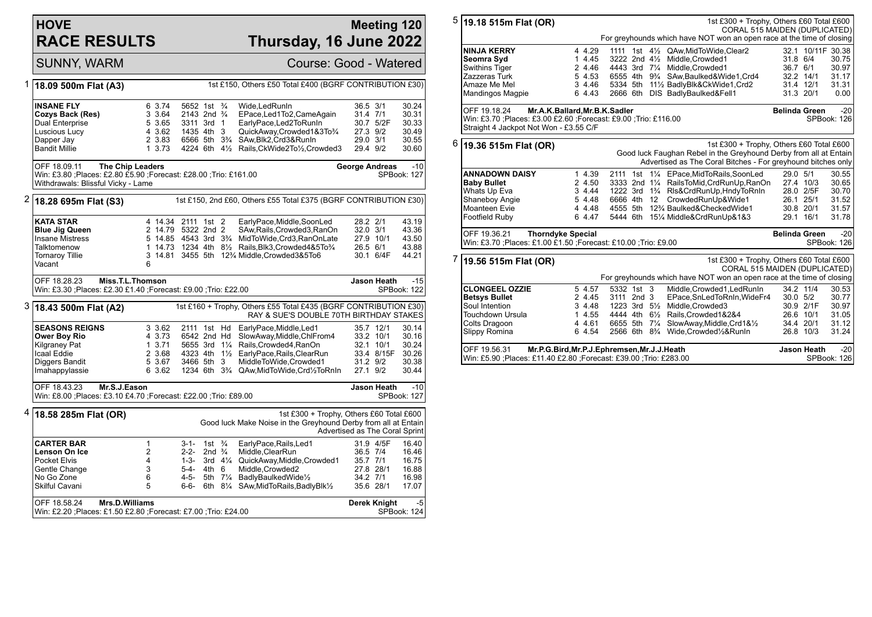## **HOVE RACE RESULTS**

## **Meeting 120 Thursday, 16 June 2022**

SUNNY, WARM Course: Good - Watered

| 1                                                                 | 18.09 500m Flat (A3)                                                                                                                |                |                    |                                        |                   |          | 1st £150, Others £50 Total £400 (BGRF CONTRIBUTION £30)                                           |              |              |                      |  |  |  |
|-------------------------------------------------------------------|-------------------------------------------------------------------------------------------------------------------------------------|----------------|--------------------|----------------------------------------|-------------------|----------|---------------------------------------------------------------------------------------------------|--------------|--------------|----------------------|--|--|--|
|                                                                   |                                                                                                                                     |                |                    |                                        |                   |          |                                                                                                   |              |              |                      |  |  |  |
|                                                                   | <b>INSANE FLY</b>                                                                                                                   |                | 6 3.74             | 5652 1st 3/4                           |                   |          | Wide.LedRunIn                                                                                     | 36.5 3/1     |              | 30.24                |  |  |  |
|                                                                   | Cozys Back (Res)                                                                                                                    |                | 3 3.64             | 2143 2nd <sup>3</sup> / <sub>4</sub>   |                   |          | EPace, Led 1 To 2, Came Again                                                                     | 31.4 7/1     |              | 30.31                |  |  |  |
|                                                                   | Dual Enterprise                                                                                                                     |                | 5 3.65             | 3311 3rd 1                             |                   |          | EarlyPace,Led2ToRunIn                                                                             |              | 30.7 5/2F    | 30.33                |  |  |  |
|                                                                   | Luscious Lucy                                                                                                                       |                | 4 3.62             | 1435 4th 3                             |                   |          | QuickAway,Crowded1&3To3/4                                                                         | 27.3 9/2     |              | 30.49                |  |  |  |
|                                                                   | Dapper Jay                                                                                                                          |                | 2 3.83             | 6566 5th 3 <sup>3</sup> / <sub>4</sub> |                   |          | SAw, Blk2, Crd3&RunIn                                                                             | 29.0 3/1     |              | 30.55                |  |  |  |
|                                                                   | <b>Bandit Millie</b>                                                                                                                |                | 13.73              |                                        |                   |          | 4224 6th 41/ <sub>2</sub> Rails, CkWide 2To1/ <sub>2</sub> , Crowded 3                            | 29.4 9/2     |              | 30.60                |  |  |  |
|                                                                   | <b>The Chip Leaders</b><br>OFF 18.09.11                                                                                             | George Andreas |                    | $-10$                                  |                   |          |                                                                                                   |              |              |                      |  |  |  |
|                                                                   | Win: £3.80 ; Places: £2.80 £5.90 ; Forecast: £28.00 ; Trio: £161.00                                                                 |                |                    |                                        |                   |          |                                                                                                   |              |              | <b>SPBook: 127</b>   |  |  |  |
|                                                                   | Withdrawals: Blissful Vicky - Lame                                                                                                  |                |                    |                                        |                   |          |                                                                                                   |              |              |                      |  |  |  |
| 2                                                                 | 1st £150, 2nd £60, Others £55 Total £375 (BGRF CONTRIBUTION £30)<br>18.28 695m Flat (S3)                                            |                |                    |                                        |                   |          |                                                                                                   |              |              |                      |  |  |  |
|                                                                   | <b>KATA STAR</b>                                                                                                                    |                | 4 14.34 2111 1st 2 |                                        |                   |          | EarlyPace, Middle, SoonLed                                                                        | 28.2 2/1     |              | 43.19                |  |  |  |
|                                                                   | <b>Blue Jig Queen</b>                                                                                                               |                | 2 14.79 5322 2nd 2 |                                        |                   |          | SAw, Rails, Crowded3, RanOn                                                                       | $32.0$ $3/1$ |              | 43.36                |  |  |  |
|                                                                   | <b>Insane Mistress</b>                                                                                                              |                |                    |                                        |                   |          | 5 14.85 4543 3rd 3 <sup>3</sup> /4 MidToWide, Crd3, RanOnLate                                     |              | 27.9 10/1    | 43.50                |  |  |  |
|                                                                   | Talktomenow                                                                                                                         |                |                    |                                        |                   |          | 1 14.73 1234 4th 81/2 Rails, Blk3, Crowded 4& 5To 3/4                                             | 26.5 6/1     |              | 43.88                |  |  |  |
|                                                                   | <b>Tornaroy Tillie</b><br>Vacant                                                                                                    | 6              |                    |                                        |                   |          | 3 14.81 3455 5th 12% Middle, Crowded 3& 5To6                                                      |              | 30.1 6/4F    | 44.21                |  |  |  |
|                                                                   | OFF 18.28.23<br>Miss.T.L.Thomson                                                                                                    |                |                    |                                        |                   |          |                                                                                                   |              | Jason Heath  | $-15$                |  |  |  |
| Win: £3.30 ; Places: £2.30 £1.40 ; Forecast: £9.00 ; Trio: £22.00 |                                                                                                                                     |                |                    |                                        |                   |          |                                                                                                   |              |              | SPBook: 122          |  |  |  |
|                                                                   |                                                                                                                                     |                |                    |                                        |                   |          |                                                                                                   |              |              |                      |  |  |  |
| 3                                                                 | 1st £160 + Trophy, Others £55 Total £435 (BGRF CONTRIBUTION £30)<br>18.43 500m Flat (A2)<br>RAY & SUE'S DOUBLE 70TH BIRTHDAY STAKES |                |                    |                                        |                   |          |                                                                                                   |              |              |                      |  |  |  |
|                                                                   | <b>SEASONS REIGNS</b>                                                                                                               |                | 3 3.62             | 2111 1st Hd                            |                   |          | EarlyPace, Middle, Led1                                                                           |              | 35.7 12/1    | 30.14                |  |  |  |
|                                                                   | Ower Boy Rio                                                                                                                        |                | 4 3.73             | 6542 2nd Hd                            |                   |          | SlowAway,Middle,ChlFrom4                                                                          |              | 33.2 10/1    | 30.16                |  |  |  |
|                                                                   | Kilgraney Pat                                                                                                                       |                | 13.71              | 5655 3rd 11/4                          |                   |          | Rails, Crowded4, RanOn                                                                            |              | 32.1 10/1    | 30.24                |  |  |  |
|                                                                   | <b>Icaal Eddie</b>                                                                                                                  |                | 2 3.68             |                                        |                   |          | 4323 4th 11/2 EarlyPace, Rails, ClearRun                                                          |              | 33.4 8/15F   | 30.26                |  |  |  |
|                                                                   | Diggers Bandit                                                                                                                      |                | 5 3.67             | 3466 5th                               |                   | 3        | MiddleToWide,Crowded1                                                                             | 31.2 9/2     |              | 30.38                |  |  |  |
|                                                                   | Imahappylassie                                                                                                                      |                | 6 3.62             |                                        |                   |          | 1234 6th 3 <sup>3</sup> / <sub>4</sub> QAw, Mid To Wide, Crd <sup>1</sup> / <sub>2</sub> To Rn In | 27.1 9/2     |              | 30.44                |  |  |  |
|                                                                   | OFF 18.43.23<br>Mr.S.J.Eason                                                                                                        |                |                    |                                        |                   |          |                                                                                                   |              |              | $-10$<br>Jason Heath |  |  |  |
|                                                                   | Win: £8.00 ; Places: £3.10 £4.70 ; Forecast: £22.00 ; Trio: £89.00<br><b>SPBook: 127</b>                                            |                |                    |                                        |                   |          |                                                                                                   |              |              |                      |  |  |  |
| 4                                                                 | 18.58 285m Flat (OR)                                                                                                                |                |                    |                                        |                   |          | 1st £300 + Trophy, Others £60 Total £600                                                          |              |              |                      |  |  |  |
|                                                                   |                                                                                                                                     |                |                    |                                        |                   |          | Good luck Make Noise in the Greyhound Derby from all at Entain<br>Advertised as The Coral Sprint  |              |              |                      |  |  |  |
|                                                                   | CARTER BAR                                                                                                                          | 1              |                    | 3-1- 1st $\frac{3}{4}$                 |                   |          | EarlyPace, Rails, Led1                                                                            |              | 31.9 4/5F    | 16.40                |  |  |  |
|                                                                   | Lenson On Ice                                                                                                                       | 2              |                    | 2-2-                                   | 2nd $\frac{3}{4}$ |          | Middle, ClearRun                                                                                  | 36.5 7/4     |              | 16.46                |  |  |  |
|                                                                   | <b>Pocket Elvis</b>                                                                                                                 | 4              |                    | 1-3-                                   |                   |          | 3rd 41/4 QuickAway, Middle, Crowded 1                                                             | 35.7 7/1     |              | 16.75                |  |  |  |
|                                                                   | Gentle Change                                                                                                                       | 3              |                    | $5 - 4 -$                              | $4th$ 6           |          | Middle.Crowded2                                                                                   |              | 27.8 28/1    | 16.88                |  |  |  |
|                                                                   | No Go Zone                                                                                                                          | 6              |                    | 4-5-                                   |                   | 5th 71/4 | BadlyBaulkedWide1/2                                                                               | 34.2 7/1     |              | 16.98                |  |  |  |
|                                                                   | Skilful Cavani                                                                                                                      | 5              |                    | 6-6-                                   |                   |          | 6th 81/4 SAw, MidTo Rails, Badly Blk1/2                                                           |              | 35.6 28/1    | 17.07                |  |  |  |
|                                                                   | OFF 18.58.24<br>Mrs.D.Williams                                                                                                      |                |                    |                                        |                   |          |                                                                                                   |              | Derek Knight | $-5$                 |  |  |  |
|                                                                   | Win: £2.20 ;Places: £1.50 £2.80 ;Forecast: £7.00 ;Trio: £24.00                                                                      |                |                    |                                        |                   |          |                                                                                                   |              |              | SPBook: 124          |  |  |  |
|                                                                   |                                                                                                                                     |                |                    |                                        |                   |          |                                                                                                   |              |              |                      |  |  |  |

| 5                                                                     | 1st £300 + Trophy, Others £60 Total £600<br>19.18 515m Flat (OR)<br>CORAL 515 MAIDEN (DUPLICATED)<br>For greyhounds which have NOT won an open race at the time of closing |  |        |                         |  |                |                                                                       |                      |                    |             |  |  |
|-----------------------------------------------------------------------|----------------------------------------------------------------------------------------------------------------------------------------------------------------------------|--|--------|-------------------------|--|----------------|-----------------------------------------------------------------------|----------------------|--------------------|-------------|--|--|
|                                                                       |                                                                                                                                                                            |  |        |                         |  |                |                                                                       |                      |                    |             |  |  |
|                                                                       | <b>NINJA KERRY</b>                                                                                                                                                         |  | 4 4.29 | 1111                    |  |                | 1st 41/2 QAw, MidTo Wide, Clear2                                      | 32.1                 | 10/11F 30.38       |             |  |  |
|                                                                       | Seomra Syd                                                                                                                                                                 |  | 1 4.45 |                         |  |                | 3222 2nd 41/2 Middle, Crowded1                                        | 31.8 6/4             |                    | 30.75       |  |  |
|                                                                       | Swithins Tiger                                                                                                                                                             |  | 2 4.46 | 4443 3rd 71/4           |  |                | Middle, Crowded1                                                      | 36.7 6/1             |                    | 30.97       |  |  |
|                                                                       | Zazzeras Turk                                                                                                                                                              |  | 5 4.53 |                         |  |                | 6555 4th 9 <sup>3</sup> / <sub>4</sub> SAw, Baulked & Wide 1, Crd 4   | 32.2 14/1            |                    | 31.17       |  |  |
|                                                                       | Amaze Me Mel                                                                                                                                                               |  | 3 4.46 |                         |  |                | 5334 5th 111/2 BadlyBlk&CkWide1,Crd2                                  | 31.4 12/1            |                    | 31.31       |  |  |
|                                                                       | Mandingos Magpie                                                                                                                                                           |  | 6 4.43 |                         |  |                | 2666 6th DIS BadlyBaulked&Fell1                                       | 31.3 20/1            |                    | 0.00        |  |  |
| OFF 19.18.24<br>Mr.A.K.Ballard, Mr.B.K.Sadler<br><b>Belinda Green</b> |                                                                                                                                                                            |  |        |                         |  |                |                                                                       |                      |                    | $-20$       |  |  |
| Win: £3.70 ;Places: £3.00 £2.60 ;Forecast: £9.00 ;Trio: £116.00       |                                                                                                                                                                            |  |        |                         |  |                |                                                                       |                      |                    | SPBook: 126 |  |  |
|                                                                       | Straight 4 Jackpot Not Won - £3.55 C/F                                                                                                                                     |  |        |                         |  |                |                                                                       |                      |                    |             |  |  |
| 6                                                                     | 19.36 515m Flat (OR)                                                                                                                                                       |  |        |                         |  |                | 1st £300 + Trophy, Others £60 Total £600                              |                      |                    |             |  |  |
|                                                                       |                                                                                                                                                                            |  |        |                         |  |                | Good luck Faughan Rebel in the Greyhound Derby from all at Entain     |                      |                    |             |  |  |
|                                                                       |                                                                                                                                                                            |  |        |                         |  |                | Advertised as The Coral Bitches - For greyhound bitches only          |                      |                    |             |  |  |
|                                                                       | <b>ANNADOWN DAISY</b>                                                                                                                                                      |  | 1 4.39 | 2111                    |  |                | 1st 11/4 EPace, MidToRails, SoonLed                                   | 29.0 5/1             |                    | 30.55       |  |  |
|                                                                       | <b>Baby Bullet</b>                                                                                                                                                         |  | 2 4.50 |                         |  |                | 3333 2nd 11/4 RailsToMid, CrdRunUp, RanOn                             | 27.4 10/3            |                    | 30.65       |  |  |
|                                                                       | Whats Up Eva                                                                                                                                                               |  | 3 4.44 |                         |  |                | 1222 3rd 1 <sup>3</sup> / <sub>4</sub> Ris&CrdRunUp, HndyToRnIn       | 28.0 2/5F            |                    | 30.70       |  |  |
|                                                                       | Shaneboy Angie                                                                                                                                                             |  | 5 4.48 | 6666 4th 12             |  |                | CrowdedRunUp&Wide1                                                    | 26.1 25/1            |                    | 31.52       |  |  |
|                                                                       | Moanteen Evie                                                                                                                                                              |  | 4 4.48 |                         |  |                | 4555 5th 12 <sup>3</sup> / <sub>4</sub> Baulked&CheckedWide1          | 30.8 20/1            |                    | 31.57       |  |  |
|                                                                       | Footfield Ruby                                                                                                                                                             |  | 6 4.47 |                         |  |                | 5444 6th 151/4 Middle&CrdRunUp&1&3                                    | 29.1 16/1            |                    | 31.78       |  |  |
|                                                                       | OFF 19.36.21<br><b>Thorndyke Special</b>                                                                                                                                   |  |        |                         |  |                |                                                                       | <b>Belinda Green</b> |                    | $-20$       |  |  |
|                                                                       | Win: £3.70 ;Places: £1.00 £1.50 ;Forecast: £10.00 ;Trio: £9.00                                                                                                             |  |        |                         |  |                |                                                                       |                      |                    | SPBook: 126 |  |  |
| 7                                                                     | 19.56 515m Flat (OR)                                                                                                                                                       |  |        |                         |  |                | 1st £300 + Trophy, Others £60 Total £600                              |                      |                    |             |  |  |
|                                                                       |                                                                                                                                                                            |  |        |                         |  |                | CORAL 515 MAIDEN (DUPLICATED)                                         |                      |                    |             |  |  |
|                                                                       |                                                                                                                                                                            |  |        |                         |  |                | For greyhounds which have NOT won an open race at the time of closing |                      |                    |             |  |  |
|                                                                       | <b>CLONGEEL OZZIE</b>                                                                                                                                                      |  | 5 4.57 | 5332 1st 3              |  |                | Middle, Crowded1, LedRunIn                                            | 34.2 11/4            |                    | 30.53       |  |  |
|                                                                       | <b>Betsys Bullet</b>                                                                                                                                                       |  | 2 4.45 | 3111 2nd 3              |  |                | EPace, SnLedToRnIn, WideFr4                                           | 30.0 5/2             |                    | 30.77       |  |  |
|                                                                       | Soul Intention                                                                                                                                                             |  | 3 4.48 | 1223 3rd $5\frac{1}{2}$ |  |                | Middle, Crowded3                                                      | 30.9 2/1F            |                    | 30.97       |  |  |
|                                                                       | Touchdown Ursula                                                                                                                                                           |  | 1 4.55 | 4444 4th                |  | $6\frac{1}{2}$ | Rails, Crowded 1&2&4                                                  | 26.6 10/1            |                    | 31.05       |  |  |
|                                                                       | Colts Dragoon                                                                                                                                                              |  | 4 4.61 | 6655 5th                |  | $7\frac{1}{4}$ | SlowAway, Middle, Crd1&1/2                                            | 34.4 20/1            |                    | 31.12       |  |  |
|                                                                       | Slippy Romina                                                                                                                                                              |  | 6 4.54 | 2566 6th                |  | $8\frac{3}{4}$ | Wide.Crowded1/2&RunIn                                                 | 26.8 10/3            |                    | 31.24       |  |  |
|                                                                       | OFF 19.56.31<br>Mr.P.G.Bird, Mr.P.J.Ephremsen, Mr.J.J.Heath                                                                                                                |  |        |                         |  |                |                                                                       |                      | <b>Jason Heath</b> | $-20$       |  |  |

SPBook: 126

Win: £5.90 ;Places: £11.40 £2.80 ;Forecast: £39.00 ;Trio: £283.00